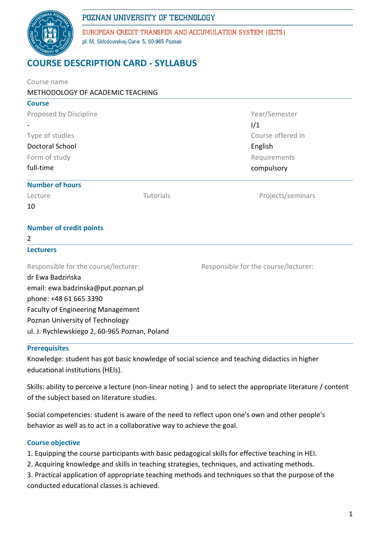

EUROPEAN CREDIT TRANSFER AND ACCUMULATION SYSTEM (ECTS) pl. M. Skłodowskiej-Curie 5, 60-965 Poznań

# **COURSE DESCRIPTION CARD - SYLLABUS**

| Course name                                   |           |                                      |  |
|-----------------------------------------------|-----------|--------------------------------------|--|
| METHODOLOGY OF ACADEMIC TEACHING              |           |                                      |  |
| <b>Course</b>                                 |           |                                      |  |
| Proposed by Discipline                        |           | Year/Semester                        |  |
|                                               |           | 1/1                                  |  |
| Type of studies                               |           | Course offered in                    |  |
| <b>Doctoral School</b>                        |           | English<br>Requirements              |  |
| Form of study                                 |           |                                      |  |
| full-time                                     |           | compulsory                           |  |
| <b>Number of hours</b>                        |           |                                      |  |
| Lecture                                       | Tutorials | Projects/seminars                    |  |
| 10                                            |           |                                      |  |
| <b>Number of credit points</b>                |           |                                      |  |
| 2                                             |           |                                      |  |
| <b>Lecturers</b>                              |           |                                      |  |
| Responsible for the course/lecturer:          |           | Responsible for the course/lecturer: |  |
| dr Ewa Badzińska                              |           |                                      |  |
| email: ewa.badzinska@put.poznan.pl            |           |                                      |  |
| phone: +48 61 665 3390                        |           |                                      |  |
| <b>Faculty of Engineering Management</b>      |           |                                      |  |
| Poznan University of Technology               |           |                                      |  |
| ul. J. Rychlewskiego 2, 60-965 Poznan, Poland |           |                                      |  |

#### **Prerequisites**

Knowledge: student has got basic knowledge of social science and teaching didactics in higher educational institutions (HEIs).

Skills: ability to perceive a lecture (non-linear noting ) and to select the appropriate literature / content of the subject based on literature studies.

Social competencies: student is aware of the need to reflect upon one's own and other people's behavior as well as to act in a collaborative way to achieve the goal.

#### **Course objective**

- 1. Equipping the course participants with basic pedagogical skills for effective teaching in HEI.
- 2. Acquiring knowledge and skills in teaching strategies, techniques, and activating methods.
- 3. Practical application of appropriate teaching methods and techniques so that the purpose of the conducted educational classes is achieved.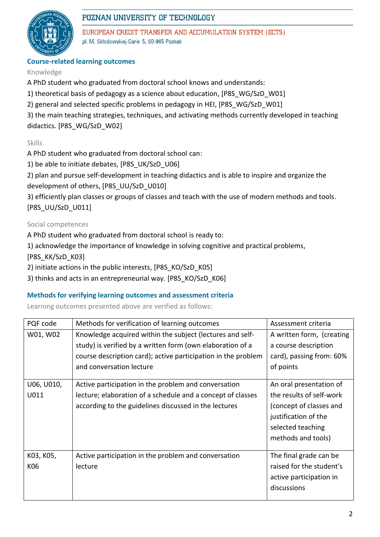

EUROPEAN CREDIT TRANSFER AND ACCUMULATION SYSTEM (ECTS) pl. M. Skłodowskiej-Curie 5, 60-965 Poznań

#### **Course-related learning outcomes**

#### Knowledge

A PhD student who graduated from doctoral school knows and understands:

1) theoretical basis of pedagogy as a science about education, [P8S\_WG/SzD\_W01]

2) general and selected specific problems in pedagogy in HEI, [P8S\_WG/SzD\_W01]

3) the main teaching strategies, techniques, and activating methods currently developed in teaching didactics. [P8S\_WG/SzD\_W02]

### Skills

A PhD student who graduated from doctoral school can:

1) be able to initiate debates, [P8S\_UK/SzD\_U06]

2) plan and pursue self-development in teaching didactics and is able to inspire and organize the development of others, [P8S\_UU/SzD\_U010]

3) efficiently plan classes or groups of classes and teach with the use of modern methods and tools. [P8S\_UU/SzD\_U011]

#### Social competences

A PhD student who graduated from doctoral school is ready to:

1) acknowledge the importance of knowledge in solving cognitive and practical problems,

[P8S\_KK/SzD\_K03]

2) initiate actions in the public interests, [P8S\_KO/SzD\_K05]

3) thinks and acts in an entrepreneurial way. [P8S\_KO/SzD\_K06]

#### **Methods for verifying learning outcomes and assessment criteria**

Learning outcomes presented above are verified as follows:

| PQF code   | Methods for verification of learning outcomes                 | Assessment criteria       |  |
|------------|---------------------------------------------------------------|---------------------------|--|
| W01, W02   | Knowledge acquired within the subject (lectures and self-     | A written form, (creating |  |
|            | study) is verified by a written form (own elaboration of a    | a course description      |  |
|            | course description card); active participation in the problem | card), passing from: 60%  |  |
|            | and conversation lecture                                      | of points                 |  |
|            |                                                               |                           |  |
| U06, U010, | Active participation in the problem and conversation          | An oral presentation of   |  |
| U011       | lecture; elaboration of a schedule and a concept of classes   | the results of self-work  |  |
|            | according to the guidelines discussed in the lectures         | (concept of classes and   |  |
|            |                                                               | justification of the      |  |
|            |                                                               | selected teaching         |  |
|            |                                                               | methods and tools)        |  |
|            |                                                               |                           |  |
| K03, K05,  | Active participation in the problem and conversation          | The final grade can be    |  |
| K06        | lecture                                                       | raised for the student's  |  |
|            |                                                               | active participation in   |  |
|            |                                                               | discussions               |  |
|            |                                                               |                           |  |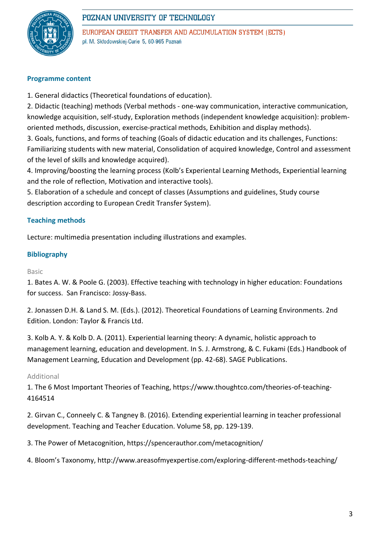

EUROPEAN CREDIT TRANSFER AND ACCUMULATION SYSTEM (ECTS) pl. M. Skłodowskiej-Curie 5, 60-965 Poznań

#### **Programme content**

1. General didactics (Theoretical foundations of education).

2. Didactic (teaching) methods (Verbal methods - one-way communication, interactive communication, knowledge acquisition, self-study, Exploration methods (independent knowledge acquisition): problemoriented methods, discussion, exercise-practical methods, Exhibition and display methods).

3. Goals, functions, and forms of teaching (Goals of didactic education and its challenges, Functions: Familiarizing students with new material, Consolidation of acquired knowledge, Control and assessment of the level of skills and knowledge acquired).

4. Improving/boosting the learning process (Kolb's Experiental Learning Methods, Experiential learning and the role of reflection, Motivation and interactive tools).

5. Elaboration of a schedule and concept of classes (Assumptions and guidelines, Study course description according to European Credit Transfer System).

#### **Teaching methods**

Lecture: multimedia presentation including illustrations and examples.

#### **Bibliography**

#### Basic

1. Bates A. W. & Poole G. (2003). Effective teaching with technology in higher education: Foundations for success. San Francisco: Jossy-Bass.

2. Jonassen D.H. & Land S. M. (Eds.). (2012). Theoretical Foundations of Learning Environments. 2nd Edition. London: Taylor & Francis Ltd.

3. Kolb A. Y. & Kolb D. A. (2011). Experiential learning theory: A dynamic, holistic approach to management learning, education and development. In S. J. Armstrong, & C. Fukami (Eds.) Handbook of Management Learning, Education and Development (pp. 42-68). SAGE Publications.

#### Additional

1. The 6 Most Important Theories of Teaching, https://www.thoughtco.com/theories-of-teaching-4164514

2. Girvan C., Conneely C. & Tangney B. (2016). Extending experiential learning in teacher professional development. Teaching and Teacher Education. Volume 58, pp. 129-139.

3. The Power of Metacognition, https://spencerauthor.com/metacognition/

4. Bloom's Taxonomy, http://www.areasofmyexpertise.com/exploring-different-methods-teaching/